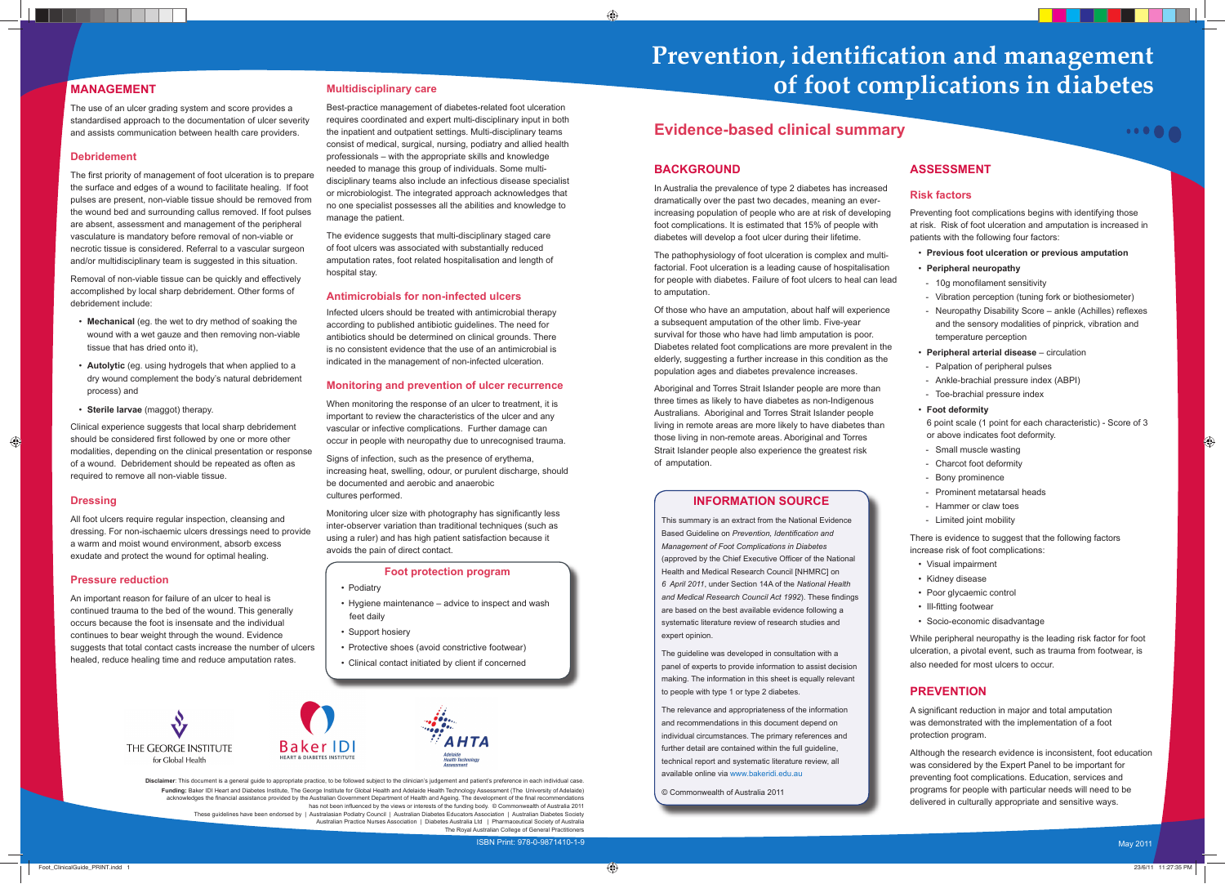# **Prevention, identification and management of foot complications in diabetes**

# **Evidence-based clinical summary**

**Disclaimer**: This document is a general guide to appropriate practice, to be followed subject to the clinician's judgement and patient's preference in each individual case. **Funding:** Baker IDI Heart and Diabetes Institute, The George Institute for Global Health and Adelaide Health Technology Assessment (The University of Adelaide) acknowledges the financial assistance provided by the Australian Government Department of Health and Ageing. The development of the final recommendations has not been influenced by the views or interests of the funding body. © Commonwealth of Australia 2011 These guidelines have been endorsed by | Australasian Podiatry Council | Australian Diabetes Educators Association | Australian Diabetes Society Australian Practice Nurses Association | Diabetes Australia Ltd | Pharmaceutical Society of Australia

#### **BACKGROUND**

In Australia the prevalence of type 2 diabetes has increased dramatically over the past two decades, meaning an everincreasing population of people who are at risk of developing foot complications. It is estimated that 15% of people with diabetes will develop a foot ulcer during their lifetime.

The pathophysiology of foot ulceration is complex and multifactorial. Foot ulceration is a leading cause of hospitalisation for people with diabetes. Failure of foot ulcers to heal can lead to amputation.

Of those who have an amputation, about half will experience a subsequent amputation of the other limb. Five-year survival for those who have had limb amputation is poor. Diabetes related foot complications are more prevalent in the elderly, suggesting a further increase in this condition as the population ages and diabetes prevalence increases.

> A significant reduction in major and total amputation was demonstrated with the implementation of a foot protection program.

Aboriginal and Torres Strait Islander people are more than three times as likely to have diabetes as non-Indigenous Australians. Aboriginal and Torres Strait Islander people living in remote areas are more likely to have diabetes than those living in non-remote areas. Aboriginal and Torres Strait Islander people also experience the greatest risk of amputation.

## **ASSESSMENT**

#### **Risk factors**

The first priority of management of foot ulceration is to prepare the surface and edges of a wound to facilitate healing. If foot pulses are present, non-viable tissue should be removed from the wound bed and surrounding callus removed. If foot pulses are absent, assessment and management of the peripheral vasculature is mandatory before removal of non-viable or necrotic tissue is considered. Referral to a vascular surgeon and/or multidisciplinary team is suggested in this situation.

Preventing foot complications begins with identifying those at risk. Risk of foot ulceration and amputation is increased in patients with the following four factors:

....

- **Previous foot ulceration or previous amputation**
- **Peripheral neuropathy**
- 10g monofilament sensitivity
- Vibration perception (tuning fork or biothesiometer)
- Neuropathy Disability Score ankle (Achilles) reflexes and the sensory modalities of pinprick, vibration and temperature perception
- **Peripheral arterial disease** circulation
- Palpation of peripheral pulses
- Ankle-brachial pressure index (ABPI)
- Toe-brachial pressure index

#### • **Foot deformity**

6 point scale (1 point for each characteristic) - Score of 3 or above indicates foot deformity.

- Small muscle wasting
- Charcot foot deformity
- Bony prominence
- Prominent metatarsal heads
- Hammer or claw toes
- Limited joint mobility

There is evidence to suggest that the following factors increase risk of foot complications:

- Visual impairment
- Kidney disease
- Poor glycaemic control
- Ill-fitting footwear
- Socio-economic disadvantage

While peripheral neuropathy is the leading risk factor for foot ulceration, a pivotal event, such as trauma from footwear, is also needed for most ulcers to occur.

### **PREVENTION**

Although the research evidence is inconsistent, foot education was considered by the Expert Panel to be important for preventing foot complications. Education, services and programs for people with particular needs will need to be delivered in culturally appropriate and sensitive ways.

Monitoring ulcer size with photography has significantly less inter-observer variation than traditional techniques (such as using a ruler) and has high patient satisfaction because it avoids the pain of direct contact.

## **MANAGEMENT**

- Podiatry
- Hygiene maintenance advice to inspect and wash feet daily
- Support hosiery
- Protective shoes (avoid constrictive footwear)
- Clinical contact initiated by client if concerned







The use of an ulcer grading system and score provides a standardised approach to the documentation of ulcer severity and assists communication between health care providers.

#### **Debridement**

Removal of non-viable tissue can be quickly and effectively accomplished by local sharp debridement. Other forms of debridement include:

- **Mechanical** (eg. the wet to dry method of soaking the wound with a wet gauze and then removing non-viable tissue that has dried onto it),
- **Autolytic** (eg. using hydrogels that when applied to a dry wound complement the body's natural debridement process) and
- **Sterile larvae** (maggot) therapy.

The Royal Australian College of General Practitioners ISBN Print: 978-0-9871410-1-9

Clinical experience suggests that local sharp debridement should be considered first followed by one or more other modalities, depending on the clinical presentation or response of a wound. Debridement should be repeated as often as required to remove all non-viable tissue.

#### **Dressing**

All foot ulcers require regular inspection, cleansing and dressing. For non-ischaemic ulcers dressings need to provide a warm and moist wound environment, absorb excess exudate and protect the wound for optimal healing.

#### **Pressure reduction**

An important reason for failure of an ulcer to heal is continued trauma to the bed of the wound. This generally occurs because the foot is insensate and the individual continues to bear weight through the wound. Evidence suggests that total contact casts increase the number of ulcers healed, reduce healing time and reduce amputation rates.

#### **Multidisciplinary care**

Best-practice management of diabetes-related foot ulceration requires coordinated and expert multi-disciplinary input in both the inpatient and outpatient settings. Multi-disciplinary teams consist of medical, surgical, nursing, podiatry and allied health professionals – with the appropriate skills and knowledge needed to manage this group of individuals. Some multidisciplinary teams also include an infectious disease specialist or microbiologist. The integrated approach acknowledges that no one specialist possesses all the abilities and knowledge to manage the patient.

The evidence suggests that multi-disciplinary staged care of foot ulcers was associated with substantially reduced amputation rates, foot related hospitalisation and length of hospital stay.

#### **Antimicrobials for non-infected ulcers**

Infected ulcers should be treated with antimicrobial therapy according to published antibiotic guidelines. The need for antibiotics should be determined on clinical grounds. There is no consistent evidence that the use of an antimicrobial is indicated in the management of non-infected ulceration.

#### **Monitoring and prevention of ulcer recurrence**

When monitoring the response of an ulcer to treatment, it is important to review the characteristics of the ulcer and any vascular or infective complications. Further damage can occur in people with neuropathy due to unrecognised trauma.

Signs of infection, such as the presence of erythema, increasing heat, swelling, odour, or purulent discharge, should be documented and aerobic and anaerobic cultures performed.

#### **Foot protection program**

#### **INFORMATION SOURCE**

This summary is an extract from the National Evidence Based Guideline on Prevention, Identification and *Management of Foot Complications in Diabetes* (approved by the Chief Executive Officer of the National Health and Medical Research Council [NHMRC] on *6 April 2011*, under Section 14A of the *National Health*  and Medical Research Council Act 1992). These findings are based on the best available evidence following a systematic literature review of research studies and expert opinion.

The guideline was developed in consultation with a panel of experts to provide information to assist decision making. The information in this sheet is equally relevant to people with type 1 or type 2 diabetes.

The relevance and appropriateness of the information and recommendations in this document depend on individual circumstances. The primary references and further detail are contained within the full guideline, technical report and systematic literature review, all available online via www.bakeridi.edu.au

© Commonwealth of Australia 2011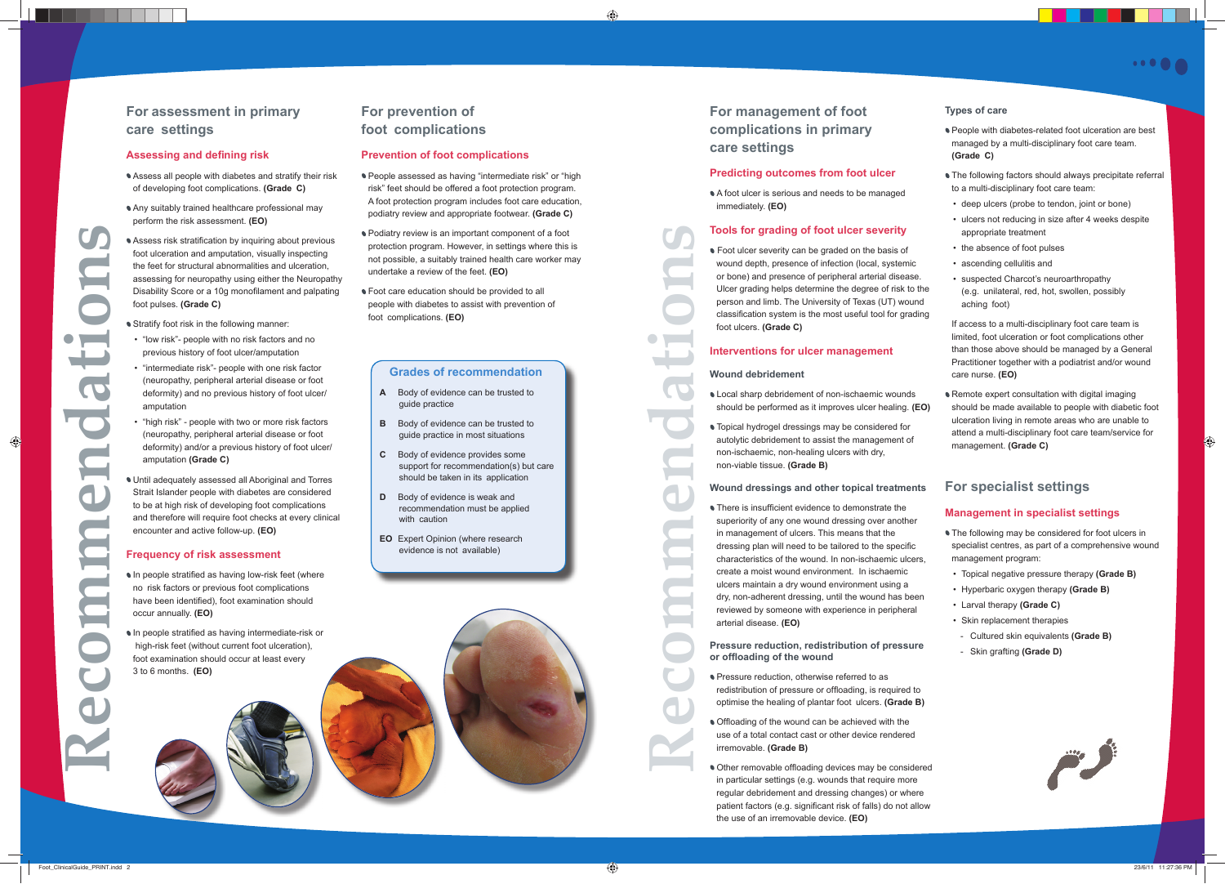# **For management of foot complications in primary care settings**

#### **Predicting outcomes from foot ulcer**

A foot ulcer is serious and needs to be managed immediately. **(EO)**

#### **Tools for grading of foot ulcer severity**

**• Foot ulcer severity can be graded on the basis of** wound depth, presence of infection (local, systemic or bone) and presence of peripheral arterial disease. Ulcer grading helps determine the degree of risk to the person and limb. The University of Texas (UT) wound classification system is the most useful tool for grading foot ulcers. **(Grade C)**

#### **Interventions for ulcer management**

#### **Wound debridement**

• There is insufficient evidence to demonstrate the superiority of any one wound dressing over another in management of ulcers. This means that the dressing plan will need to be tailored to the specific characteristics of the wound. In non-ischaemic ulcers, create a moist wound environment. In ischaemic ulcers maintain a dry wound environment using a dry, non-adherent dressing, until the wound has been reviewed by someone with experience in peripheral arterial disease. **(EO)**

- Local sharp debridement of non-ischaemic wounds should be performed as it improves ulcer healing. **(EO)**
- Topical hydrogel dressings may be considered for autolytic debridement to assist the management of non-ischaemic, non-healing ulcers with dry, non-viable tissue. **(Grade B)**

- **Pressure reduction, otherwise referred to as** redistribution of pressure or offloading, is required to optimise the healing of plantar foot ulcers. **(Grade B)**
- Offloading of the wound can be achieved with the use of a total contact cast or other device rendered irremovable. **(Grade B)**
- Other removable offloading devices may be considered in particular settings (e.g. wounds that require more regular debridement and dressing changes) or where patient factors (e.g. significant risk of falls) do not allow the use of an irremovable device. **(EO)**

# **.....**

**Pressure reduction, redistribution of pressure or offl oading of the wound**

**Remote expert consultation with digital imaging** should be made available to people with diabetic foot ulceration living in remote areas who are unable to attend a multi-disciplinary foot care team/service for management. **(Grade C)**

- **The following may be considered for foot ulcers in** specialist centres, as part of a comprehensive wound management program:
- Topical negative pressure therapy **(Grade B)**
- Hyperbaric oxygen therapy **(Grade B)**
- Larval therapy **(Grade C)**
- Skin replacement therapies
- Cultured skin equivalents **(Grade B)**
- Skin grafting **(Grade D)**



# **For assessment in primary care settings**

#### **Wound dressings and other topical treatments For specialist settings**

#### **Types of care**

- People with diabetes-related foot ulceration are best managed by a multi-disciplinary foot care team. **(Grade C)**
- **The following factors should always precipitate referral** to a multi-disciplinary foot care team:
- deep ulcers (probe to tendon, joint or bone)
- ulcers not reducing in size after 4 weeks despite appropriate treatment
- the absence of foot pulses
- ascending cellulitis and
- suspected Charcot's neuroarthropathy (e.g. unilateral, red, hot, swollen, possibly aching foot)

- In people stratified as having low-risk feet (where no risk factors or previous foot complications have been identified), foot examination should occur annually. **(EO)**
- $\bullet$  In people stratified as having intermediate-risk or high-risk feet (without current foot ulceration), foot examination should occur at least every 3 to 6 months. **(EO)**

# **For prevention of foot complications**

If access to a multi-disciplinary foot care team is limited, foot ulceration or foot complications other than those above should be managed by a General Practitioner together with a podiatrist and/or wound care nurse. **(EO)**

#### **Management in specialist settings**

#### **Assessing and defining risk**

- Assess all people with diabetes and stratify their risk of developing foot complications. **(Grade C)**
- Any suitably trained healthcare professional may perform the risk assessment. **(EO)**
- Assess risk stratification by inquiring about previous foot ulceration and amputation, visually inspecting the feet for structural abnormalities and ulceration, assessing for neuropathy using either the Neuropathy Disability Score or a 10g monofilament and palpating foot pulses. **(Grade C)**
- **Stratify foot risk in the following manner:**
- "low risk"- people with no risk factors and no previous history of foot ulcer/amputation
- "intermediate risk"- people with one risk factor (neuropathy, peripheral arterial disease or foot deformity) and no previous history of foot ulcer/ amputation
- "high risk" people with two or more risk factors (neuropathy, peripheral arterial disease or foot deformity) and/or a previous history of foot ulcer/ amputation **(Grade C)**
- Until adequately assessed all Aboriginal and Torres Strait Islander people with diabetes are considered to be at high risk of developing foot complications and therefore will require foot checks at every clinical encounter and active follow-up. **(EO)**

#### **Frequency of risk assessment**

#### **Prevention of foot complications**

- People assessed as having "intermediate risk" or "high risk" feet should be offered a foot protection program. A foot protection program includes foot care education, podiatry review and appropriate footwear. **(Grade C)**
- Podiatry review is an important component of a foot protection program. However, in settings where this is not possible, a suitably trained health care worker may undertake a review of the feet. **(EO)**
- **Foot care education should be provided to all** people with diabetes to assist with prevention of foot complications. **(EO)**

**Recommendations**

E

#### **Grades of recommendation**

- **A** Body of evidence can be trusted to guide practice
- **B** Body of evidence can be trusted to guide practice in most situations
- **C** Body of evidence provides some support for recommendation(s) but care should be taken in its application
- **D** Body of evidence is weak and recommendation must be applied with caution
- **EO** Expert Opinion (where research evidence is not available)

**Recommendations**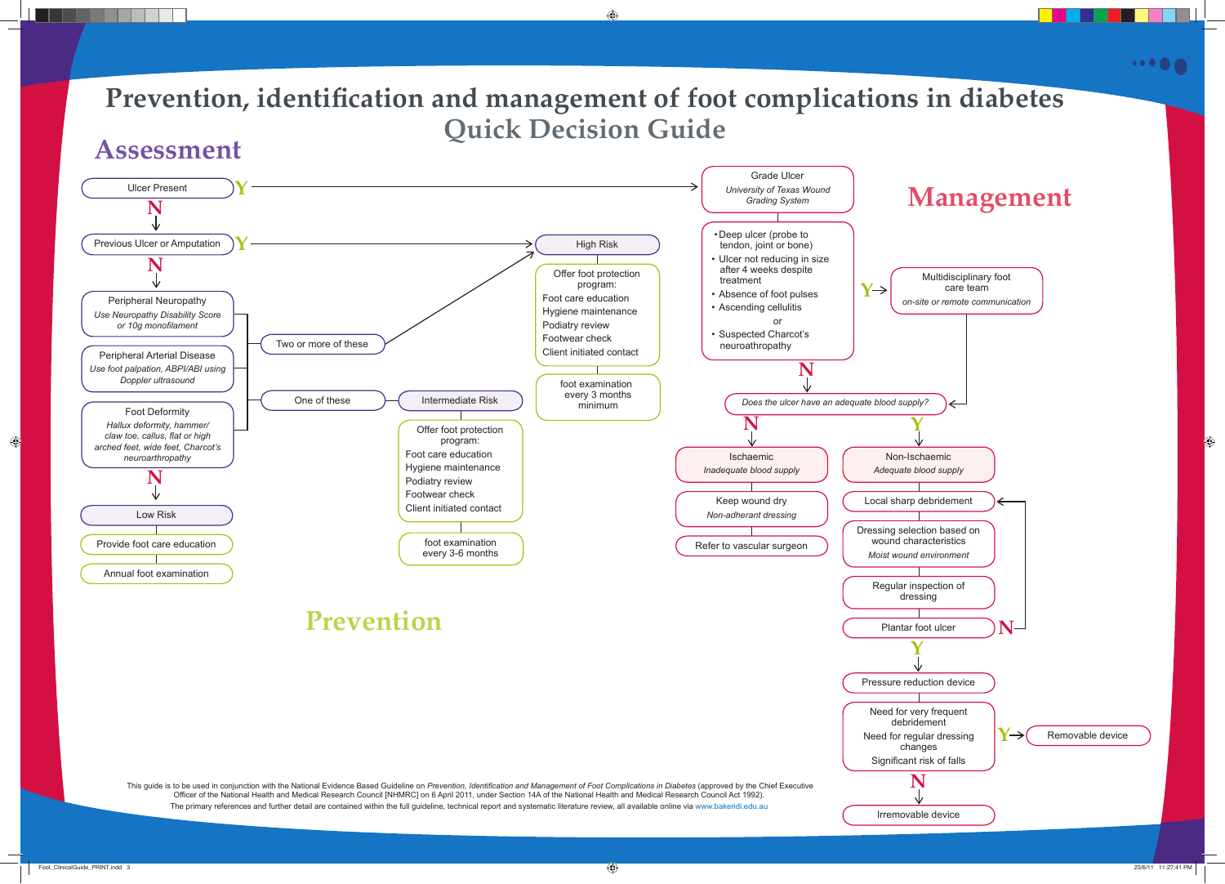# Prevention, identification and management of foot complications in diabetes **Quick Decision Guide Assessment**





 $\cdots$